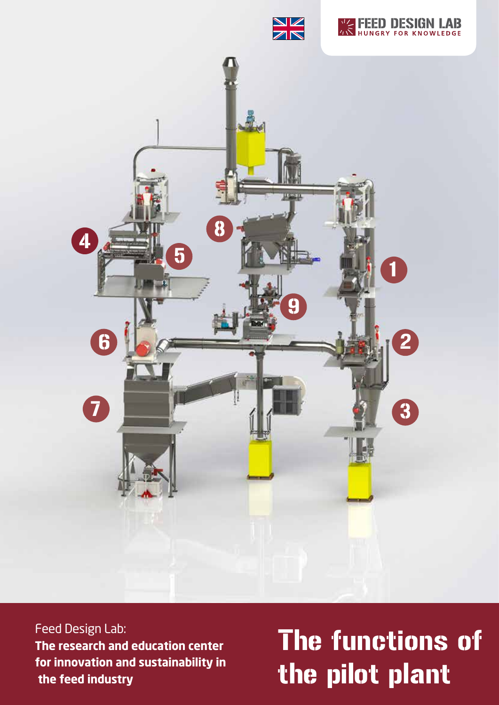





Feed Design Lab: **The research and education center for innovation and sustainability in the feed industry**

# The functions of the pilot plant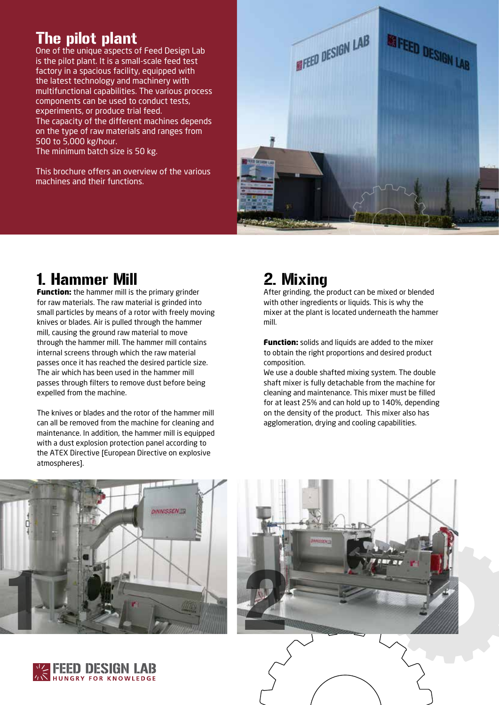### The pilot plant

One of the unique aspects of Feed Design Lab is the pilot plant. It is a small-scale feed test factory in a spacious facility, equipped with the latest technology and machinery with multifunctional capabilities. The various process components can be used to conduct tests, experiments, or produce trial feed. The capacity of the different machines depends on the type of raw materials and ranges from 500 to 5,000 kg/hour. The minimum batch size is 50 kg.

This brochure offers an overview of the various machines and their functions.



### 1. Hammer Mill

**Function:** the hammer mill is the primary grinder for raw materials. The raw material is grinded into small particles by means of a rotor with freely moving knives or blades. Air is pulled through the hammer mill, causing the ground raw material to move through the hammer mill. The hammer mill contains internal screens through which the raw material passes once it has reached the desired particle size. The air which has been used in the hammer mill passes through filters to remove dust before being expelled from the machine.

The knives or blades and the rotor of the hammer mill can all be removed from the machine for cleaning and maintenance. In addition, the hammer mill is equipped with a dust explosion protection panel according to the ATEX Directive [European Directive on explosive atmospheres].

## 2. Mixing

After grinding, the product can be mixed or blended with other ingredients or liquids. This is why the mixer at the plant is located underneath the hammer mill.

**Function:** solids and liquids are added to the mixer to obtain the right proportions and desired product composition.

We use a double shafted mixing system. The double shaft mixer is fully detachable from the machine for cleaning and maintenance. This mixer must be filled for at least 25% and can hold up to 140%, depending on the density of the product. This mixer also has agglomeration, drying and cooling capabilities.





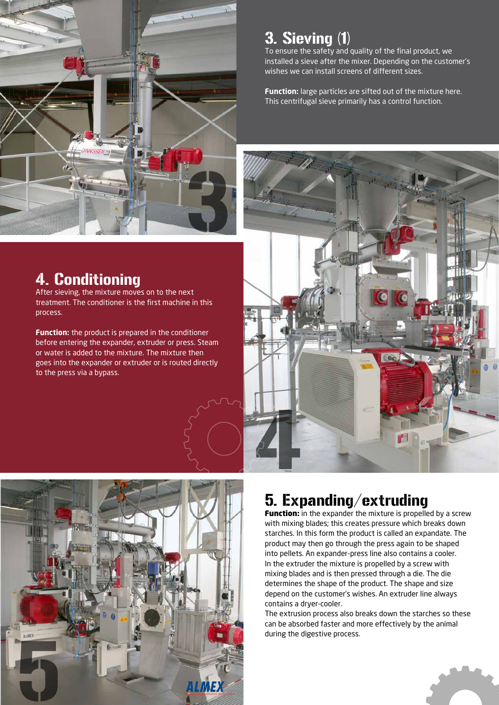

## 3. Sieving (1)

To ensure the safety and quality of the final product, we installed a sieve after the mixer. Depending on the customer's wishes we can install screens of different sizes.

**Function:** large particles are sifted out of the mixture here. This centrifugal sieve primarily has a control function.





After sieving, the mixture moves on to the next treatment. The conditioner is the first machine in this process.

**Function:** the product is prepared in the conditioner before entering the expander, extruder or press. Steam or water is added to the mixture. The mixture then goes into the expander or extruder or is routed directly to the press via a bypass.



## 5. Expanding/extruding

**Function:** in the expander the mixture is propelled by a screw with mixing blades; this creates pressure which breaks down starches. In this form the product is called an expandate. The product may then go through the press again to be shaped into pellets. An expander-press line also contains a cooler. In the extruder the mixture is propelled by a screw with mixing blades and is then pressed through a die. The die determines the shape of the product. The shape and size depend on the customer's wishes. An extruder line always contains a dryer-cooler.

The extrusion process also breaks down the starches so these can be absorbed faster and more effectively by the animal during the digestive process.